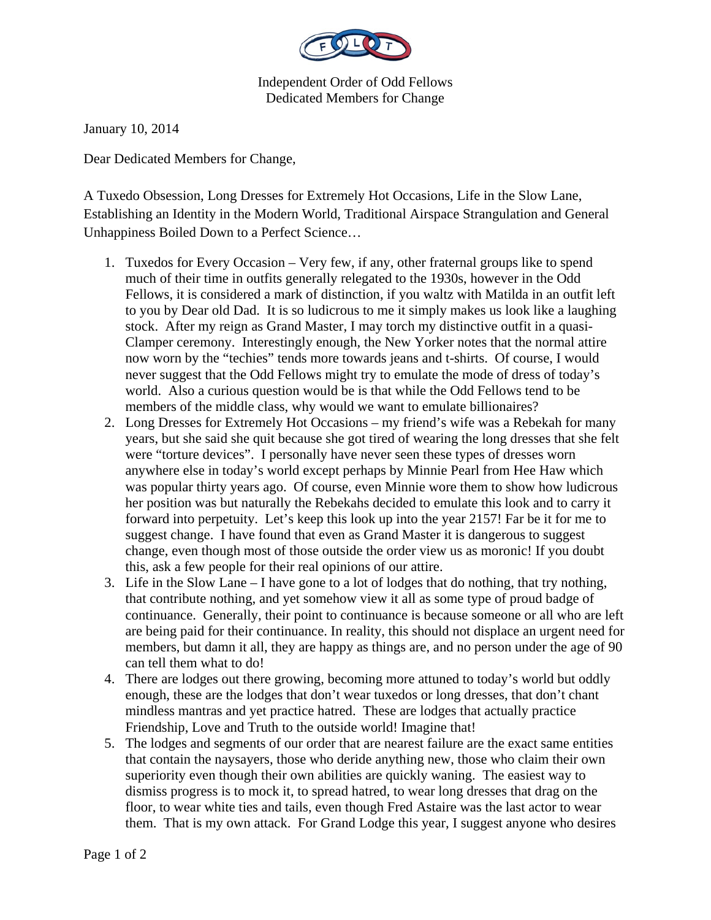

Independent Order of Odd Fellows Dedicated Members for Change

January 10, 2014

Dear Dedicated Members for Change,

A Tuxedo Obsession, Long Dresses for Extremely Hot Occasions, Life in the Slow Lane, Establishing an Identity in the Modern World, Traditional Airspace Strangulation and General Unhappiness Boiled Down to a Perfect Science…

- 1. Tuxedos for Every Occasion Very few, if any, other fraternal groups like to spend much of their time in outfits generally relegated to the 1930s, however in the Odd Fellows, it is considered a mark of distinction, if you waltz with Matilda in an outfit left to you by Dear old Dad. It is so ludicrous to me it simply makes us look like a laughing stock. After my reign as Grand Master, I may torch my distinctive outfit in a quasi-Clamper ceremony. Interestingly enough, the New Yorker notes that the normal attire now worn by the "techies" tends more towards jeans and t-shirts. Of course, I would never suggest that the Odd Fellows might try to emulate the mode of dress of today's world. Also a curious question would be is that while the Odd Fellows tend to be members of the middle class, why would we want to emulate billionaires?
- 2. Long Dresses for Extremely Hot Occasions my friend's wife was a Rebekah for many years, but she said she quit because she got tired of wearing the long dresses that she felt were "torture devices". I personally have never seen these types of dresses worn anywhere else in today's world except perhaps by Minnie Pearl from Hee Haw which was popular thirty years ago. Of course, even Minnie wore them to show how ludicrous her position was but naturally the Rebekahs decided to emulate this look and to carry it forward into perpetuity. Let's keep this look up into the year 2157! Far be it for me to suggest change. I have found that even as Grand Master it is dangerous to suggest change, even though most of those outside the order view us as moronic! If you doubt this, ask a few people for their real opinions of our attire.
- 3. Life in the Slow Lane I have gone to a lot of lodges that do nothing, that try nothing, that contribute nothing, and yet somehow view it all as some type of proud badge of continuance. Generally, their point to continuance is because someone or all who are left are being paid for their continuance. In reality, this should not displace an urgent need for members, but damn it all, they are happy as things are, and no person under the age of 90 can tell them what to do!
- 4. There are lodges out there growing, becoming more attuned to today's world but oddly enough, these are the lodges that don't wear tuxedos or long dresses, that don't chant mindless mantras and yet practice hatred. These are lodges that actually practice Friendship, Love and Truth to the outside world! Imagine that!
- 5. The lodges and segments of our order that are nearest failure are the exact same entities that contain the naysayers, those who deride anything new, those who claim their own superiority even though their own abilities are quickly waning. The easiest way to dismiss progress is to mock it, to spread hatred, to wear long dresses that drag on the floor, to wear white ties and tails, even though Fred Astaire was the last actor to wear them. That is my own attack. For Grand Lodge this year, I suggest anyone who desires